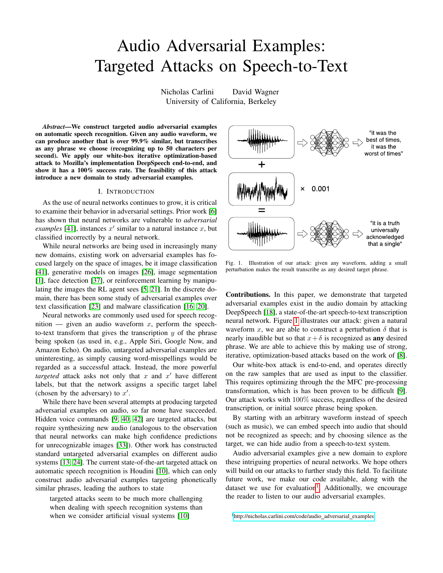# Audio Adversarial Examples: Targeted Attacks on Speech-to-Text

Nicholas Carlini David Wagner University of California, Berkeley

*Abstract*—We construct targeted audio adversarial examples on automatic speech recognition. Given any audio waveform, we can produce another that is over 99.9% similar, but transcribes as any phrase we choose (recognizing up to 50 characters per second). We apply our white-box iterative optimization-based attack to Mozilla's implementation DeepSpeech end-to-end, and show it has a 100% success rate. The feasibility of this attack introduce a new domain to study adversarial examples.

# I. INTRODUCTION

As the use of neural networks continues to grow, it is critical to examine their behavior in adversarial settings. Prior work [\[6\]](#page-6-0) has shown that neural networks are vulnerable to *adversarial examples* [\[41\]](#page-6-1), instances  $x'$  similar to a natural instance  $x$ , but classified incorrectly by a neural network.

While neural networks are being used in increasingly many new domains, existing work on adversarial examples has focused largely on the space of images, be it image classification [\[41\]](#page-6-1), generative models on images [\[26\]](#page-6-2), image segmentation [\[1\]](#page-6-3), face detection [\[37\]](#page-6-4), or reinforcement learning by manipulating the images the RL agent sees [\[5,](#page-6-5) [21\]](#page-6-6). In the discrete domain, there has been some study of adversarial examples over text classification [\[23\]](#page-6-7) and malware classification [\[16,](#page-6-8) [20\]](#page-6-9).

Neural networks are commonly used used for speech recognition — given an audio waveform x, perform the speechto-text transform that gives the transcription  $y$  of the phrase being spoken (as used in, e.g., Apple Siri, Google Now, and Amazon Echo). On audio, untargeted adversarial examples are uninteresting, as simply causing word-misspellings would be regarded as a successful attack. Instead, the more powerful *targeted* attack asks not only that  $x$  and  $x'$  have different labels, but that the network assigns a specific target label (chosen by the adversary) to  $x'$ .

While there have been several attempts at producing targeted adversarial examples on audio, so far none have succeeded. Hidden voice commands [\[9,](#page-6-10) [40,](#page-6-11) [42\]](#page-6-12) are targeted attacks, but require synthesizing new audio (analogous to the observation that neural networks can make high confidence predictions for unrecognizable images [\[33\]](#page-6-13)). Other work has constructed standard untargeted adversarial examples on different audio systems [\[13,](#page-6-14) [24\]](#page-6-15). The current state-of-the-art targeted attack on automatic speech recognition is Houdini [\[10\]](#page-6-16), which can only construct audio adversarial examples targeting phonetically similar phrases, leading the authors to state

targeted attacks seem to be much more challenging when dealing with speech recognition systems than when we consider artificial visual systems [\[10\]](#page-6-16)



<span id="page-0-0"></span>Fig. 1. Illustration of our attack: given any waveform, adding a small perturbation makes the result transcribe as any desired target phrase.

Contributions. In this paper, we demonstrate that targeted adversarial examples exist in the audio domain by attacking DeepSpeech [\[18\]](#page-6-17), a state-of-the-art speech-to-text transcription neural network. Figure [1](#page-0-0) illustrates our attack: given a natural waveform x, we are able to construct a perturbation  $\delta$  that is nearly inaudible but so that  $x+\delta$  is recognized as any desired phrase. We are able to achieve this by making use of strong, iterative, optimization-based attacks based on the work of [\[8\]](#page-6-18).

Our white-box attack is end-to-end, and operates directly on the raw samples that are used as input to the classifier. This requires optimizing through the the MFC pre-processing transformation, which is has been proven to be difficult [\[9\]](#page-6-10). Our attack works with 100% success, regardless of the desired transcription, or initial source phrase being spoken.

By starting with an arbitrary waveform instead of speech (such as music), we can embed speech into audio that should not be recognized as speech; and by choosing silence as the target, we can hide audio from a speech-to-text system.

Audio adversarial examples give a new domain to explore these intriguing properties of neural networks. We hope others will build on our attacks to further study this field. To facilitate future work, we make our code available, along with the dataset we use for evaluation<sup>[1](#page-0-1)</sup>. Additionally, we encourage the reader to listen to our audio adversarial examples.

<span id="page-0-1"></span><sup>1</sup>[http://nicholas.carlini.com/code/audio](http://nicholas.carlini.com/code/audio_adversarial_examples) adversarial examples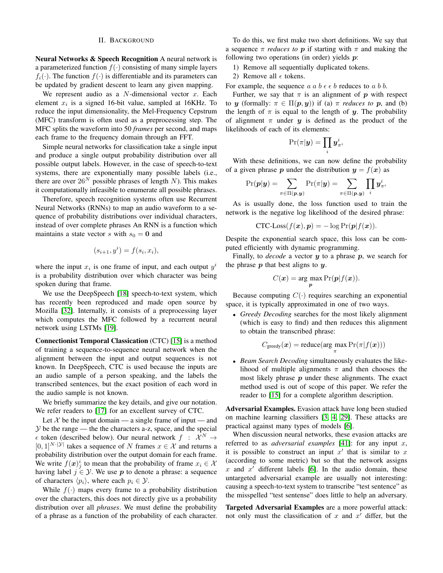# II. BACKGROUND

Neural Networks & Speech Recognition A neural network is a parameterized function  $f(\cdot)$  consisting of many simple layers  $f_i(\cdot)$ . The function  $f(\cdot)$  is differentiable and its parameters can be updated by gradient descent to learn any given mapping.

We represent audio as a  $N$ -dimensional vector  $x$ . Each element  $x_i$  is a signed 16-bit value, sampled at 16KHz. To reduce the input dimensionality, the Mel-Frequency Cepstrum (MFC) transform is often used as a preprocessing step. The MFC splits the waveform into 50 *frames* per second, and maps each frame to the frequency domain through an FFT.

Simple neural networks for classification take a single input and produce a single output probability distribution over all possible output labels. However, in the case of speech-to-text systems, there are exponentially many possible labels (i.e., there are over  $26^N$  possible phrases of length N). This makes it computationally infeasible to enumerate all possible phrases.

Therefore, speech recognition systems often use Recurrent Neural Networks (RNNs) to map an audio waveform to a sequence of probability distributions over individual characters, instead of over complete phrases An RNN is a function which maintains a state vector s with  $s_0 = 0$  and

$$
(s_{i+1}, y^i) = f(s_i, x_i),
$$

where the input  $x_i$  is one frame of input, and each output  $y^i$ is a probability distribution over which character was being spoken during that frame.

We use the DeepSpeech [\[18\]](#page-6-17) speech-to-text system, which has recently been reproduced and made open source by Mozilla [\[32\]](#page-6-19). Internally, it consists of a preprocessing layer which computes the MFC followed by a recurrent neural network using LSTMs [\[19\]](#page-6-20).

Connectionist Temporal Classication (CTC) [\[15\]](#page-6-21) is a method of training a sequence-to-sequence neural network when the alignment between the input and output sequences is not known. In DeepSpeech, CTC is used because the inputs are an audio sample of a person speaking, and the labels the transcribed sentences, but the exact position of each word in the audio sample is not known.

We briefly summarize the key details, and give our notation. We refer readers to [\[17\]](#page-6-22) for an excellent survey of CTC.

Let  $\mathcal X$  be the input domain — a single frame of input — and  $Y$  be the range — the the characters a-z, space, and the special  $\epsilon$  token (described below). Our neural network  $f : \mathcal{X}^N \to$  $[0, 1]^{N \cdot |\mathcal{Y}|}$  takes a sequence of N frames  $x \in \mathcal{X}$  and returns a probability distribution over the output domain for each frame. We write  $f(\boldsymbol{x})_j^i$  to mean that the probability of frame  $x_i \in \mathcal{X}$ having label  $j \in \mathcal{Y}$ . We use p to denote a phrase: a sequence of characters  $\langle p_i \rangle$ , where each  $p_i \in \mathcal{Y}$ .

While  $f(\cdot)$  maps every frame to a probability distribution over the characters, this does not directly give us a probability distribution over all *phrases*. We must define the probability of a phrase as a function of the probability of each character.

To do this, we first make two short definitions. We say that a sequence  $\pi$  *reduces to* **p** if starting with  $\pi$  and making the following two operations (in order) yields  $p$ :

- 1) Remove all sequentially duplicated tokens.
- 2) Remove all  $\epsilon$  tokens.

For example, the sequence  $a \, a \, b \, \epsilon \, \epsilon \, b$  reduces to  $a \, b \, b$ .

Further, we say that  $\pi$  is an alignment of p with respect to y (formally:  $\pi \in \Pi(p, y)$ ) if (a)  $\pi$  *reduces to* p, and (b) the length of  $\pi$  is equal to the length of y. The probability of alignment  $\pi$  under  $\gamma$  is defined as the product of the likelihoods of each of its elements:

$$
\Pr(\pi|\boldsymbol{y}) = \prod_i \boldsymbol{y}_{\pi^i}^i
$$

With these definitions, we can now define the probability of a given phrase p under the distribution  $y = f(x)$  as

$$
\Pr(\boldsymbol{p}|\boldsymbol{y}) = \sum_{\pi \in \Pi(\boldsymbol{p}, \boldsymbol{y})} \Pr(\pi|\boldsymbol{y}) = \sum_{\pi \in \Pi(\boldsymbol{p}, \boldsymbol{y})} \prod_i \boldsymbol{y}_{\pi^i}^i
$$

As is usually done, the loss function used to train the network is the negative log likelihood of the desired phrase:

$$
CTC\text{-}Loss(f(\boldsymbol{x}), \boldsymbol{p}) = -\log \Pr(\boldsymbol{p}|f(\boldsymbol{x})).
$$

Despite the exponential search space, this loss can be computed efficiently with dynamic programming.

Finally, to *decode* a vector  $y$  to a phrase  $p$ , we search for the phrase  $p$  that best aligns to  $y$ .

$$
C(\boldsymbol{x}) = \arg\max_{\boldsymbol{p}} \Pr(\boldsymbol{p}|f(\boldsymbol{x})).
$$

Because computing  $C(\cdot)$  requires searching an exponential space, it is typically approximated in one of two ways.

• *Greedy Decoding* searches for the most likely alignment (which is easy to find) and then reduces this alignment to obtain the transcribed phrase:

$$
C_{\text{greedy}}(\boldsymbol{x}) = \text{reduce}(\arg \max_{\pi} \Pr(\pi | f(\boldsymbol{x})))
$$

• *Beam Search Decoding* simultaneously evaluates the likelihood of multiple alignments  $\pi$  and then chooses the most likely phrase  $p$  under these alignments. The exact method used is out of scope of this paper. We refer the reader to [\[15\]](#page-6-21) for a complete algorithm description.

Adversarial Examples. Evasion attack have long been studied on machine learning classifiers [\[3,](#page-6-23) [4,](#page-6-24) [29\]](#page-6-25). These attacks are practical against many types of models [\[6\]](#page-6-0).

When discussion neural networks, these evasion attacks are referred to as *adversarial examples* [\[41\]](#page-6-1): for any input x, it is possible to construct an input  $x'$  that is similar to  $x$ (according to some metric) but so that the network assigns x and  $x'$  different labels [\[6\]](#page-6-0). In the audio domain, these untargeted adversarial example are usually not interesting: causing a speech-to-text system to transcribe "test sentence" as the misspelled "test sentense" does little to help an adversary.

Targeted Adversarial Examples are a more powerful attack: not only must the classification of x and  $x'$  differ, but the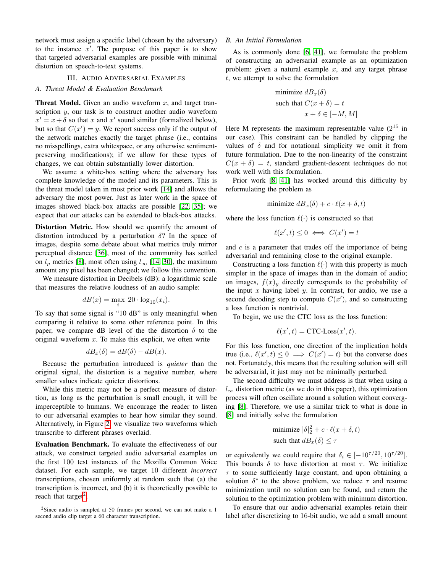network must assign a specific label (chosen by the adversary) to the instance  $x'$ . The purpose of this paper is to show that targeted adversarial examples are possible with minimal distortion on speech-to-text systems.

### III. AUDIO ADVERSARIAL EXAMPLES

# *A. Threat Model & Evaluation Benchmark*

**Threat Model.** Given an audio waveform  $x$ , and target transcription y, our task is to construct another audio waveform  $x' = x + \delta$  so that x and x' sound similar (formalized below), but so that  $C(x') = y$ . We report success only if the output of the network matches exactly the target phrase (i.e., contains no misspellings, extra whitespace, or any otherwise sentimentpreserving modifications); if we allow for these types of changes, we can obtain substantially lower distortion.

We assume a white-box setting where the adversary has complete knowledge of the model and its parameters. This is the threat model taken in most prior work [\[14\]](#page-6-26) and allows the adversary the most power. Just as later work in the space of images showed black-box attacks are possible [\[22,](#page-6-27) [35\]](#page-6-28); we expect that our attacks can be extended to black-box attacks.

Distortion Metric. How should we quantify the amount of distortion introduced by a perturbation  $\delta$ ? In the space of images, despite some debate about what metrics truly mirror perceptual distance [\[36\]](#page-6-29), most of the community has settled on  $l_p$  metrics [\[8\]](#page-6-18), most often using  $l_{\infty}$  [\[14,](#page-6-26) [30\]](#page-6-30), the maximum amount any pixel has been changed; we follow this convention.

We measure distortion in Decibels (dB): a logarithmic scale that measures the relative loudness of an audio sample:

$$
dB(x) = \max_{i} 20 \cdot \log_{10}(x_i).
$$

To say that some signal is "10 dB" is only meaningful when comparing it relative to some other reference point. In this paper, we compare dB level of the the distortion  $\delta$  to the original waveform  $x$ . To make this explicit, we often write

$$
dB_x(\delta) = dB(\delta) - dB(x).
$$

Because the perturbation introduced is *quieter* than the original signal, the distortion is a negative number, where smaller values indicate quieter distortions.

While this metric may not be a perfect measure of distortion, as long as the perturbation is small enough, it will be imperceptible to humans. We encourage the reader to listen to our adversarial examples to hear how similar they sound. Alternatively, in Figure [2,](#page-4-0) we visualize two waveforms which transcribe to different phrases overlaid.

Evaluation Benchmark. To evaluate the effectiveness of our attack, we construct targeted audio adversarial examples on the first 100 test instances of the Mozilla Common Voice dataset. For each sample, we target 10 different *incorrect* transcriptions, chosen uniformly at random such that (a) the transcription is incorrect, and (b) it is theoretically possible to reach that target<sup>[2](#page-2-0)</sup>.

# <span id="page-2-1"></span>*B. An Initial Formulation*

As is commonly done [\[6,](#page-6-0) [41\]](#page-6-1), we formulate the problem of constructing an adversarial example as an optimization problem: given a natural example  $x$ , and any target phrase t, we attempt to solve the formulation

minimize 
$$
dB_x(\delta)
$$
  
such that  $C(x + \delta) = t$   
 $x + \delta \in [-M, M]$ 

Here M represents the maximum representable value  $(2^{15}$  in our case). This constraint can be handled by clipping the values of  $\delta$  and for notational simplicity we omit it from future formulation. Due to the non-linearity of the constraint  $C(x + \delta) = t$ , standard gradient-descent techniques do not work well with this formulation.

Prior work [\[8,](#page-6-18) [41\]](#page-6-1) has worked around this difficulty by reformulating the problem as

$$
minimize dB_x(\delta) + c \cdot \ell(x + \delta, t)
$$

where the loss function  $\ell(\cdot)$  is constructed so that

$$
\ell(x',t) \le 0 \iff C(x') = t
$$

and  $c$  is a parameter that trades off the importance of being adversarial and remaining close to the original example.

Constructing a loss function  $\ell(\cdot)$  with this property is much simpler in the space of images than in the domain of audio; on images,  $f(x)_y$  directly corresponds to the probability of the input  $x$  having label  $y$ . In contrast, for audio, we use a second decoding step to compute  $C(x')$ , and so constructing a loss function is nontrivial.

To begin, we use the CTC loss as the loss function:

$$
\ell(x',t) = \text{CTC-Loss}(x',t).
$$

For this loss function, one direction of the implication holds true (i.e.,  $\ell(x', t) \leq 0 \implies C(x') = t$ ) but the converse does not. Fortunately, this means that the resulting solution will still be adversarial, it just may not be minimally perturbed.

The second difficulty we must address is that when using a  $l_{\infty}$  distortion metric (as we do in this paper), this optimization process will often oscillate around a solution without converging [\[8\]](#page-6-18). Therefore, we use a similar trick to what is done in [\[8\]](#page-6-18) and initially solve the formulation

minimize 
$$
|\delta|_2^2 + c \cdot \ell(x + \delta, t)
$$
  
such that  $dB_x(\delta) \leq \tau$ 

or equivalently we could require that  $\delta_i \in [-10^{\tau/20}, 10^{\tau/20}]$ . This bounds  $\delta$  to have distortion at most  $\tau$ . We initialize  $\tau$  to some sufficiently large constant, and upon obtaining a solution  $\delta^*$  to the above problem, we reduce  $\tau$  and resume minimization until no solution can be found, and return the solution to the optimization problem with minimum distortion.

To ensure that our audio adversarial examples retain their label after discretizing to 16-bit audio, we add a small amount

<span id="page-2-0"></span> $2$ Since audio is sampled at 50 frames per second, we can not make a 1 second audio clip target a 60 character transcription.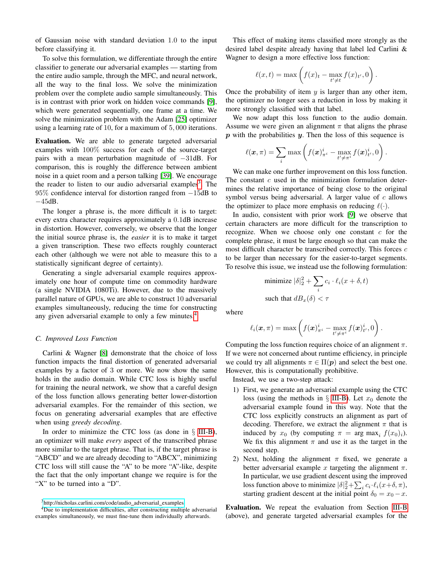of Gaussian noise with standard deviation 1.0 to the input before classifying it.

To solve this formulation, we differentiate through the entire classifier to generate our adversarial examples — starting from the entire audio sample, through the MFC, and neural network, all the way to the final loss. We solve the minimization problem over the complete audio sample simultaneously. This is in contrast with prior work on hidden voice commands [\[9\]](#page-6-10), which were generated sequentially, one frame at a time. We solve the minimization problem with the Adam [\[25\]](#page-6-31) optimizer using a learning rate of 10, for a maximum of 5, 000 iterations.

Evaluation. We are able to generate targeted adversarial examples with 100% success for each of the source-target pairs with a mean perturbation magnitude of −31dB. For comparison, this is roughly the difference between ambient noise in a quiet room and a person talking [\[39\]](#page-6-32). We encourage the reader to listen to our audio adversarial examples<sup>[3](#page-3-0)</sup>. The 95% confidence interval for distortion ranged from −15dB to −45dB.

The longer a phrase is, the more difficult it is to target: every extra character requires approximately a 0.1dB increase in distortion. However, conversely, we observe that the longer the initial source phrase is, the *easier* it is to make it target a given transcription. These two effects roughly counteract each other (although we were not able to measure this to a statistically significant degree of certainty).

Generating a single adversarial example requires approximately one hour of compute time on commodity hardware (a single NVIDIA 1080Ti). However, due to the massively parallel nature of GPUs, we are able to construct 10 adversarial examples simultaneously, reducing the time for constructing any given adversarial example to only a few minutes.<sup>[4](#page-3-1)</sup>

# <span id="page-3-2"></span>*C. Improved Loss Function*

Carlini & Wagner [\[8\]](#page-6-18) demonstrate that the choice of loss function impacts the final distortion of generated adversarial examples by a factor of 3 or more. We now show the same holds in the audio domain. While CTC loss is highly useful for training the neural network, we show that a careful design of the loss function allows generating better lower-distortion adversarial examples. For the remainder of this section, we focus on generating adversarial examples that are effective when using *greedy decoding*.

In order to minimize the CTC loss (as done in  $\S$  [III-B\)](#page-2-1), an optimizer will make *every* aspect of the transcribed phrase more similar to the target phrase. That is, if the target phrase is "ABCD" and we are already decoding to "ABCX", minimizing CTC loss will still cause the "A" to be more "A"-like, despite the fact that the only important change we require is for the "X" to be turned into a "D".

This effect of making items classified more strongly as the desired label despite already having that label led Carlini & Wagner to design a more effective loss function:

$$
\ell(x,t) = \max\left(f(x)_t - \max_{t' \neq t} f(x)_{t'}, 0\right).
$$

Once the probability of item  $y$  is larger than any other item, the optimizer no longer sees a reduction in loss by making it more strongly classified with that label.

We now adapt this loss function to the audio domain. Assume we were given an alignment  $\pi$  that aligns the phrase  $p$  with the probabilities  $y$ . Then the loss of this sequence is

$$
\ell(\boldsymbol{x},\pi) = \sum_i \max \left( f(\boldsymbol{x})_{\pi^i}^i - \max_{t' \neq \pi^i} f(\boldsymbol{x})_{t'}^i, 0 \right).
$$

We can make one further improvement on this loss function. The constant  $c$  used in the minimization formulation determines the relative importance of being close to the original symbol versus being adversarial. A larger value of  $c$  allows the optimizer to place more emphasis on reducing  $\ell(\cdot)$ .

In audio, consistent with prior work [\[9\]](#page-6-10) we observe that certain characters are more difficult for the transcription to recognize. When we choose only one constant  $c$  for the complete phrase, it must be large enough so that can make the most difficult character be transcribed correctly. This forces c to be larger than necessary for the easier-to-target segments. To resolve this issue, we instead use the following formulation:

minimize 
$$
|\delta|_2^2 + \sum_i c_i \cdot \ell_i(x + \delta, t)
$$
  
such that  $dB_x(\delta) < \tau$ 

where

$$
\ell_i(\boldsymbol{x},\pi) = \max \left(f(\boldsymbol{x})_{\pi^i}^i - \max_{t' \neq \pi^i} f(\boldsymbol{x})_{t'}^i, 0\right).
$$

Computing the loss function requires choice of an alignment  $\pi$ . If we were not concerned about runtime efficiency, in principle we could try all alignments  $\pi \in \Pi(p)$  and select the best one. However, this is computationally prohibitive.

Instead, we use a two-step attack:

- 1) First, we generate an adversarial example using the CTC loss (using the methods in  $\S$  [III-B\)](#page-2-1). Let  $x_0$  denote the adversarial example found in this way. Note that the CTC loss explicitly constructs an alignment as part of decoding. Therefore, we extract the alignment  $\pi$  that is induced by  $x_0$  (by computing  $\pi = \arg \max_i f(x_0)_i$ ). We fix this alignment  $\pi$  and use it as the target in the second step.
- 2) Next, holding the alignment  $\pi$  fixed, we generate a better adversarial example x targeting the alignment  $\pi$ . In particular, we use gradient descent using the improved loss function above to minimize  $|\delta|^2 + \sum_i c_i \cdot \ell_i(x+\delta, \pi)$ , starting gradient descent at the initial point  $\delta_0 = x_0 - x$ .

Evaluation. We repeat the evaluation from Section [III-B](#page-2-1) (above), and generate targeted adversarial examples for the

<span id="page-3-1"></span><span id="page-3-0"></span><sup>3</sup>[http://nicholas.carlini.com/code/audio](http://nicholas.carlini.com/code/audio_adversarial_examples) adversarial examples

<sup>&</sup>lt;sup>4</sup>Due to implementation difficulties, after constructing multiple adversarial examples simultaneously, we must fine-tune them individually afterwards.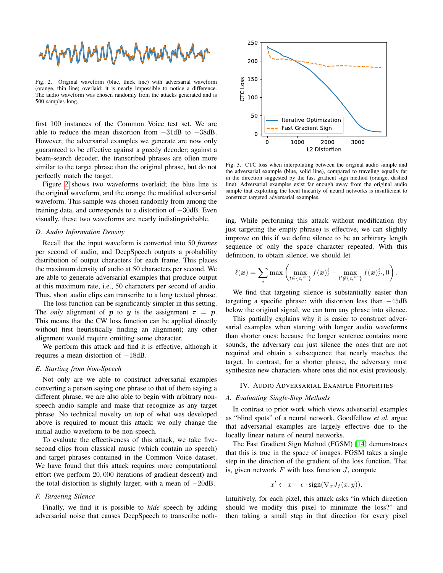MMMMMMMMMM

<span id="page-4-0"></span>Fig. 2. Original waveform (blue, thick line) with adversarial waveform (orange, thin line) overlaid; it is nearly impossible to notice a difference. The audio waveform was chosen randomly from the attacks generated and is 500 samples long.

first 100 instances of the Common Voice test set. We are able to reduce the mean distortion from −31dB to −38dB. However, the adversarial examples we generate are now only guaranteed to be effective against a greedy decoder; against a beam-search decoder, the transcribed phrases are often more similar to the target phrase than the original phrase, but do not perfectly match the target.

Figure [2](#page-4-0) shows two waveforms overlaid; the blue line is the original waveform, and the orange the modified adversarial waveform. This sample was chosen randomly from among the training data, and corresponds to a distortion of −30dB. Even visually, these two waveforms are nearly indistinguishable.

## *D. Audio Information Density*

Recall that the input waveform is converted into 50 *frames* per second of audio, and DeepSpeech outputs a probability distribution of output characters for each frame. This places the maximum density of audio at 50 characters per second. We are able to generate adversarial examples that produce output at this maximum rate, i.e., 50 characters per second of audio. Thus, short audio clips can transcribe to a long textual phrase.

The loss function can be significantly simpler in this setting. The *only* alignment of p to y is the assignment  $\pi = p$ . This means that the CW loss function can be applied directly without first heuristically finding an alignment; any other alignment would require omitting some character.

We perform this attack and find it is effective, although it requires a mean distortion of −18dB.

# *E. Starting from Non-Speech*

Not only are we able to construct adversarial examples converting a person saying one phrase to that of them saying a different phrase, we are also able to begin with arbitrary nonspeech audio sample and make that recognize as any target phrase. No technical novelty on top of what was developed above is required to mount this attack: we only change the initial audio waveform to be non-speech.

To evaluate the effectiveness of this attack, we take fivesecond clips from classical music (which contain no speech) and target phrases contained in the Common Voice dataset. We have found that this attack requires more computational effort (we perform 20, 000 iterations of gradient descent) and the total distortion is slightly larger, with a mean of −20dB.

# *F. Targeting Silence*

Finally, we find it is possible to *hide* speech by adding adversarial noise that causes DeepSpeech to transcribe noth-



<span id="page-4-1"></span>Fig. 3. CTC loss when interpolating between the original audio sample and the adversarial example (blue, solid line), compared to traveling equally far in the direction suggested by the fast gradient sign method (orange, dashed line). Adversarial examples exist far enough away from the original audio sample that exploiting the local linearity of neural networks is insufficient to construct targeted adversarial examples.

ing. While performing this attack without modification (by just targeting the empty phrase) is effective, we can slightly improve on this if we define silence to be an arbitrary length sequence of only the space character repeated. With this definition, to obtain silence, we should let

$$
\ell(\boldsymbol{x}) = \sum_i \max \left( \max_{t \in \{\epsilon, \omega\}} f(\boldsymbol{x})_t^i - \max_{t' \notin \{\epsilon, \omega\}} f(\boldsymbol{x})_{t'}^i, 0 \right).
$$

We find that targeting silence is substantially easier than targeting a specific phrase: with distortion less than −45dB below the original signal, we can turn any phrase into silence.

This partially explains why it is easier to construct adversarial examples when starting with longer audio waveforms than shorter ones: because the longer sentence contains more sounds, the adversary can just silence the ones that are not required and obtain a subsequence that nearly matches the target. In contrast, for a shorter phrase, the adversary must synthesize new characters where ones did not exist previously.

## IV. AUDIO ADVERSARIAL EXAMPLE PROPERTIES

## *A. Evaluating Single-Step Methods*

In contrast to prior work which views adversarial examples as "blind spots" of a neural network, Goodfellow *et al.* argue that adversarial examples are largely effective due to the locally linear nature of neural networks.

The Fast Gradient Sign Method (FGSM) [\[14\]](#page-6-26) demonstrates that this is true in the space of images. FGSM takes a single step in the direction of the gradient of the loss function. That is, given network  $F$  with loss function  $J$ , compute

$$
x' \leftarrow x - \epsilon \cdot \text{sign}(\nabla_x J_f(x, y)).
$$

Intuitively, for each pixel, this attack asks "in which direction should we modify this pixel to minimize the loss?" and then taking a small step in that direction for every pixel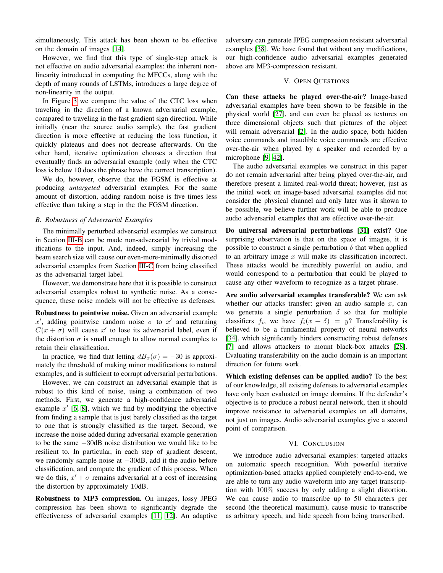simultaneously. This attack has been shown to be effective on the domain of images [\[14\]](#page-6-26).

However, we find that this type of single-step attack is not effective on audio adversarial examples: the inherent nonlinearity introduced in computing the MFCCs, along with the depth of many rounds of LSTMs, introduces a large degree of non-linearity in the output.

In Figure [3](#page-4-1) we compare the value of the CTC loss when traveling in the direction of a known adversarial example, compared to traveling in the fast gradient sign direction. While initially (near the source audio sample), the fast gradient direction is more effective at reducing the loss function, it quickly plateaus and does not decrease afterwards. On the other hand, iterative optimization chooses a direction that eventually finds an adversarial example (only when the CTC loss is below 10 does the phrase have the correct transcription).

We do, however, observe that the FGSM is effective at producing *untargeted* adversarial examples. For the same amount of distortion, adding random noise is five times less effective than taking a step in the the FGSM direction.

# *B. Robustness of Adversarial Examples*

The minimally perturbed adversarial examples we construct in Section [III-B](#page-2-1) can be made non-adversarial by trivial modifications to the input. And, indeed, simply increasing the beam search size will cause our even-more-minimally distorted adversarial examples from Section [III-C](#page-3-2) from being classified as the adversarial target label.

However, we demonstrate here that it is possible to construct adversarial examples robust to synthetic noise. As a consequence, these noise models will not be effective as defenses.

Robustness to pointwise noise. Given an adversarial example x', adding pointwise random noise  $\sigma$  to x' and returning  $C(x + \sigma)$  will cause x' to lose its adversarial label, even if the distortion  $\sigma$  is small enough to allow normal examples to retain their classification.

In practice, we find that letting  $dB_x(\sigma) = -30$  is approximately the threshold of making minor modifications to natural examples, and is sufficient to corrupt adversarial perturbations.

However, we can construct an adversarial example that is robust to this kind of noise, using a combination of two methods. First, we generate a high-confidence adversarial example  $x'$  [\[6,](#page-6-0) [8\]](#page-6-18), which we find by modifying the objective from finding a sample that is just barely classified as the target to one that is strongly classified as the target. Second, we increase the noise added during adversarial example generation to be the same −30dB noise distribution we would like to be resilient to. In particular, in each step of gradient descent, we randomly sample noise at −30dB, add it the audio before classification, and compute the gradient of this process. When we do this,  $x' + \sigma$  remains adversarial at a cost of increasing the distortion by approximately 10dB.

Robustness to MP3 compression. On images, lossy JPEG compression has been shown to significantly degrade the effectiveness of adversarial examples [\[11,](#page-6-33) [12\]](#page-6-34). An adaptive adversary can generate JPEG compression resistant adversarial examples [\[38\]](#page-6-35). We have found that without any modifications, our high-confidence audio adversarial examples generated above are MP3-compression resistant.

### V. OPEN QUESTIONS

Can these attacks be played over-the-air? Image-based adversarial examples have been shown to be feasible in the physical world [\[27\]](#page-6-36), and can even be placed as textures on three dimensional objects such that pictures of the object will remain adversarial [\[2\]](#page-6-37). In the audio space, both hidden voice commands and inaudible voice commands are effective over-the-air when played by a speaker and recorded by a microphone [\[9,](#page-6-10) [42\]](#page-6-12).

The audio adversarial examples we construct in this paper do not remain adversarial after being played over-the-air, and therefore present a limited real-world threat; however, just as the initial work on image-based adversarial examples did not consider the physical channel and only later was it shown to be possible, we believe further work will be able to produce audio adversarial examples that are effective over-the-air.

Do universal adversarial perturbations [\[31\]](#page-6-38) exist? One surprising observation is that on the space of images, it is possible to construct a single perturbation  $\delta$  that when applied to an arbitrary image  $x$  will make its classification incorrect. These attacks would be incredibly powerful on audio, and would correspond to a perturbation that could be played to cause any other waveform to recognize as a target phrase.

Are audio adversarial examples transferable? We can ask whether our attacks transfer: given an audio sample  $x$ , can we generate a single perturbation  $\delta$  so that for multiple classifiers  $f_i$ , we have  $f_i(x + \delta) = y$ ? Transferability is believed to be a fundamental property of neural networks [\[34\]](#page-6-39), which significantly hinders constructing robust defenses [\[7\]](#page-6-40) and allows attackers to mount black-box attacks [\[28\]](#page-6-41). Evaluating transferability on the audio domain is an important direction for future work.

Which existing defenses can be applied audio? To the best of our knowledge, all existing defenses to adversarial examples have only been evaluated on image domains. If the defender's objective is to produce a robust neural network, then it should improve resistance to adversarial examples on all domains, not just on images. Audio adversarial examples give a second point of comparison.

## VI. CONCLUSION

We introduce audio adversarial examples: targeted attacks on automatic speech recognition. With powerful iterative optimization-based attacks applied completely end-to-end, we are able to turn any audio waveform into any target transcription with 100% success by only adding a slight distortion. We can cause audio to transcribe up to 50 characters per second (the theoretical maximum), cause music to transcribe as arbitrary speech, and hide speech from being transcribed.